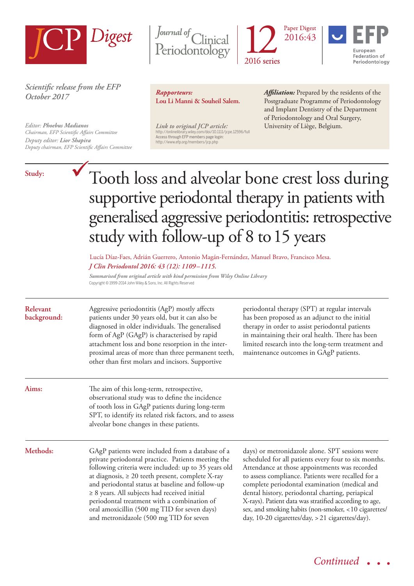

*Scientific release from the EFP October 2017*

*Editor: Phoebus Madianos Chairman, EFP Scientific Affairs Committee Deputy editor: Lior Shapira Deputy chairman, EFP Scientific Affairs Committee*

## **Study:**







*Rapporteurs:*  **Lou Li Manni & Souheil Salem.**

*Link to original JCP article:* University of Liège, Belgium. http://onlinelibrary.wiley.com/doi/10.1111/jcpe.12596/full Access through EFP members page login: http://www.efp.org/members/jcp.php

*Affiliation:* Prepared by the residents of the Postgraduate Programme of Periodontology and Implant Dentistry of the Department of Periodontology and Oral Surgery,

# Tooth loss and alveolar bone crest loss during supportive periodontal therapy in patients with generalised aggressive periodontitis: retrospective study with follow-up of 8 to 15 years

*J Clin Periodontol 2016: 43 (12): 1109–1115.* Lucía Díaz-Faes, Adrián Guerrero, Antonio Magán-Fernández, Manuel Bravo, Francisco Mesa.

*Summarised from original article with kind permission from Wiley Online Library* Copyright © 1999-2014 John Wiley & Sons, Inc. All Rights Reserved

| Relevant<br>background: | Aggressive periodontitis (AgP) mostly affects<br>patients under 30 years old, but it can also be<br>diagnosed in older individuals. The generalised<br>form of AgP (GAgP) is characterised by rapid<br>attachment loss and bone resorption in the inter-<br>proximal areas of more than three permanent teeth,<br>other than first molars and incisors. Supportive                                                                                                         | periodontal therapy (SPT) at regular intervals<br>has been proposed as an adjunct to the initial<br>therapy in order to assist periodontal patients<br>in maintaining their oral health. There has been<br>limited research into the long-term treatment and<br>maintenance outcomes in GAgP patients.                                                                                                                                                                                    |
|-------------------------|----------------------------------------------------------------------------------------------------------------------------------------------------------------------------------------------------------------------------------------------------------------------------------------------------------------------------------------------------------------------------------------------------------------------------------------------------------------------------|-------------------------------------------------------------------------------------------------------------------------------------------------------------------------------------------------------------------------------------------------------------------------------------------------------------------------------------------------------------------------------------------------------------------------------------------------------------------------------------------|
| Aims:                   | The aim of this long-term, retrospective,<br>observational study was to define the incidence<br>of tooth loss in GAgP patients during long-term<br>SPT, to identify its related risk factors, and to assess<br>alveolar bone changes in these patients.                                                                                                                                                                                                                    |                                                                                                                                                                                                                                                                                                                                                                                                                                                                                           |
| Methods:                | GAgP patients were included from a database of a<br>private periodontal practice. Patients meeting the<br>following criteria were included: up to 35 years old<br>at diagnosis, $\geq 20$ teeth present, complete X-ray<br>and periodontal status at baseline and follow-up<br>$\geq$ 8 years. All subjects had received initial<br>periodontal treatment with a combination of<br>oral amoxicillin (500 mg TID for seven days)<br>and metronidazole (500 mg TID for seven | days) or metronidazole alone. SPT sessions were<br>scheduled for all patients every four to six months.<br>Attendance at those appointments was recorded<br>to assess compliance. Patients were recalled for a<br>complete periodontal examination (medical and<br>dental history, periodontal charting, periapical<br>X-rays). Patient data was stratified according to age,<br>sex, and smoking habits (non-smoker, <10 cigarettes/<br>day, 10-20 cigarettes/day, > 21 cigarettes/day). |